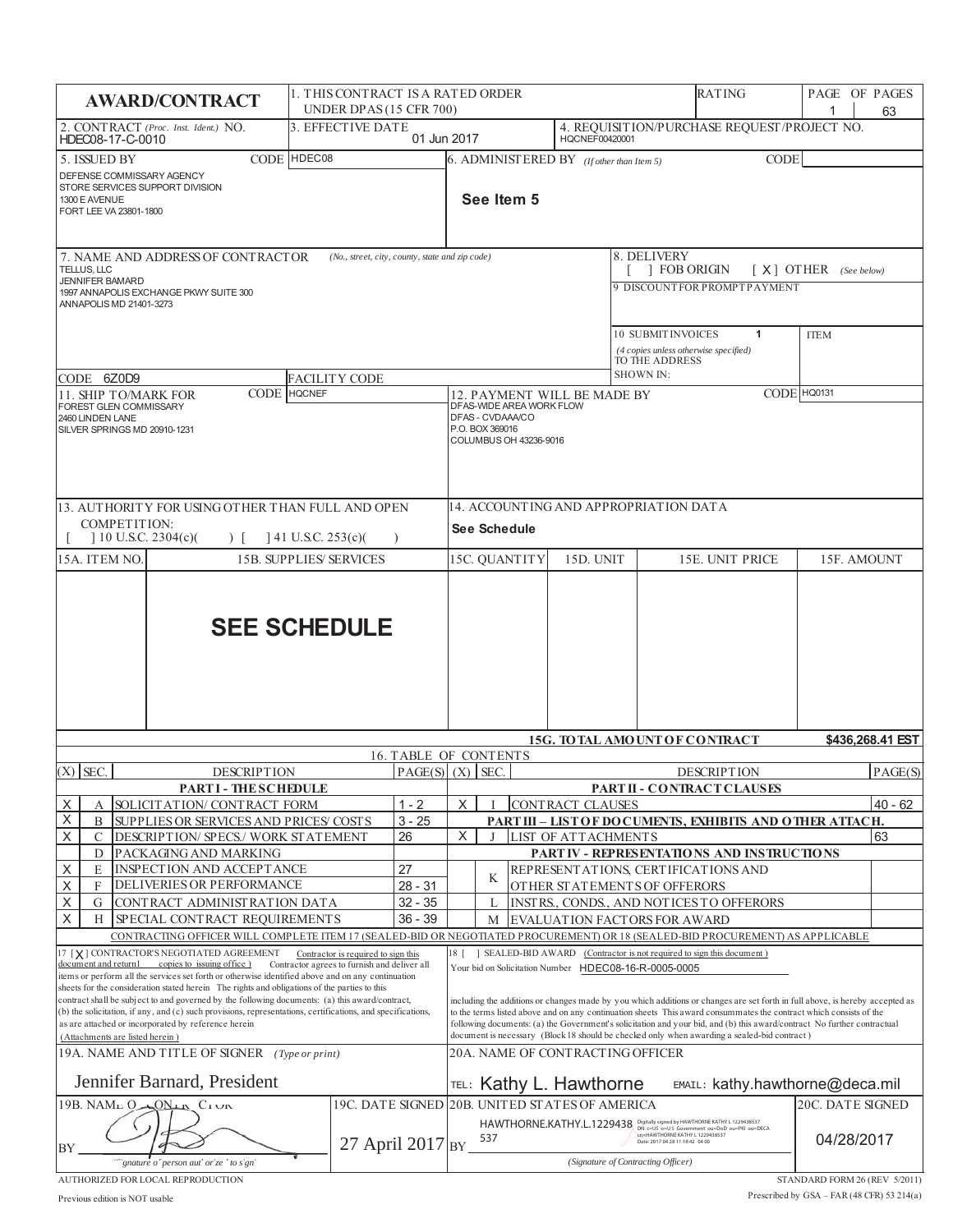| 4. REQUISITION/PURCHASE REQUEST/PROJECT NO.<br>3. EFFECTIVE DATE<br>2. CONTRACT (Proc. Inst. Ident.) NO.<br>HQCNEF00420001<br>01 Jun 2017<br>HDEC08-17-C-0010<br>CODE HDEC08<br>5. ISSUED BY<br>$6.$ ADMINIST ERED BY ( <i>If other than Item 5</i> )<br>CODE<br>DEFENSE COMMISSARY AGENCY<br>STORE SERVICES SUPPORT DIVISION<br>See Item 5<br>1300 E AVENUE<br>FORT LEE VA 23801-1800<br>8. DELIVERY<br>7. NAME AND ADDRESS OF CONTRACTOR<br>(No., street, city, county, state and zip code)<br><b>FOB ORIGIN</b><br>$[X]$ OTHER (See below)<br>TELLUS, LLC<br><b>JENNIFER BAMARD</b><br>9 DISCOUNTFOR PROMPTPAYMENT<br>1997 ANNAPOLIS EXCHANGE PKWY SUITE 300<br>ANNAPOLIS MD 21401-3273<br>10 SUBMIT INVOICES<br>$\mathbf{1}$<br><b>ITEM</b><br>(4 copies unless otherwise specified)<br>TO THE ADDRESS<br>SHOWN IN:<br>CODE 6Z0D9<br><b>FACILITY CODE</b><br>CODE HQ0131<br>CODE HQCNEF<br>12. PAYMENT WILL BE MADE BY<br>11. SHIP TO/MARK FOR<br>DFAS-WIDE AREA WORK FLOW<br>FOREST GLEN COMMISSARY<br>DFAS - CVDAAA/CO<br>2460 LINDEN LANE<br>P.O. BOX 369016<br>SILVER SPRINGS MD 20910-1231<br>COLUMBUS OH 43236-9016<br>14. ACCOUNTING AND APPROPRIATION DATA<br>13. AUTHORITY FOR USING OTHER THAN FULL AND OPEN<br>COMPETITION:<br>See Schedule<br>$10$ U.S.C. 2304(c)(<br>$141$ U.S.C. 253(c)(<br>$\rightarrow$<br>15C. QUANTITY<br>15D. UNIT<br>15E. UNIT PRICE<br>15A. ITEM NO.<br><b>15B. SUPPLIES' SERVICES</b><br>15F. AMOUNT | 63                                                                                                                                                                                                                                                                                                                                                                             |  |  |  |  |  |
|------------------------------------------------------------------------------------------------------------------------------------------------------------------------------------------------------------------------------------------------------------------------------------------------------------------------------------------------------------------------------------------------------------------------------------------------------------------------------------------------------------------------------------------------------------------------------------------------------------------------------------------------------------------------------------------------------------------------------------------------------------------------------------------------------------------------------------------------------------------------------------------------------------------------------------------------------------------------------------------------------------------------------------------------------------------------------------------------------------------------------------------------------------------------------------------------------------------------------------------------------------------------------------------------------------------------------------------------------------------------------------------------------------------------------------------------|--------------------------------------------------------------------------------------------------------------------------------------------------------------------------------------------------------------------------------------------------------------------------------------------------------------------------------------------------------------------------------|--|--|--|--|--|
|                                                                                                                                                                                                                                                                                                                                                                                                                                                                                                                                                                                                                                                                                                                                                                                                                                                                                                                                                                                                                                                                                                                                                                                                                                                                                                                                                                                                                                                |                                                                                                                                                                                                                                                                                                                                                                                |  |  |  |  |  |
|                                                                                                                                                                                                                                                                                                                                                                                                                                                                                                                                                                                                                                                                                                                                                                                                                                                                                                                                                                                                                                                                                                                                                                                                                                                                                                                                                                                                                                                |                                                                                                                                                                                                                                                                                                                                                                                |  |  |  |  |  |
|                                                                                                                                                                                                                                                                                                                                                                                                                                                                                                                                                                                                                                                                                                                                                                                                                                                                                                                                                                                                                                                                                                                                                                                                                                                                                                                                                                                                                                                |                                                                                                                                                                                                                                                                                                                                                                                |  |  |  |  |  |
|                                                                                                                                                                                                                                                                                                                                                                                                                                                                                                                                                                                                                                                                                                                                                                                                                                                                                                                                                                                                                                                                                                                                                                                                                                                                                                                                                                                                                                                |                                                                                                                                                                                                                                                                                                                                                                                |  |  |  |  |  |
|                                                                                                                                                                                                                                                                                                                                                                                                                                                                                                                                                                                                                                                                                                                                                                                                                                                                                                                                                                                                                                                                                                                                                                                                                                                                                                                                                                                                                                                |                                                                                                                                                                                                                                                                                                                                                                                |  |  |  |  |  |
|                                                                                                                                                                                                                                                                                                                                                                                                                                                                                                                                                                                                                                                                                                                                                                                                                                                                                                                                                                                                                                                                                                                                                                                                                                                                                                                                                                                                                                                |                                                                                                                                                                                                                                                                                                                                                                                |  |  |  |  |  |
|                                                                                                                                                                                                                                                                                                                                                                                                                                                                                                                                                                                                                                                                                                                                                                                                                                                                                                                                                                                                                                                                                                                                                                                                                                                                                                                                                                                                                                                |                                                                                                                                                                                                                                                                                                                                                                                |  |  |  |  |  |
|                                                                                                                                                                                                                                                                                                                                                                                                                                                                                                                                                                                                                                                                                                                                                                                                                                                                                                                                                                                                                                                                                                                                                                                                                                                                                                                                                                                                                                                |                                                                                                                                                                                                                                                                                                                                                                                |  |  |  |  |  |
| <b>SEE SCHEDULE</b>                                                                                                                                                                                                                                                                                                                                                                                                                                                                                                                                                                                                                                                                                                                                                                                                                                                                                                                                                                                                                                                                                                                                                                                                                                                                                                                                                                                                                            |                                                                                                                                                                                                                                                                                                                                                                                |  |  |  |  |  |
| 15G. TO TAL AMOUNT OF CONTRACT<br>\$436.268.41 EST<br>16. TABLE OF CONTENTS                                                                                                                                                                                                                                                                                                                                                                                                                                                                                                                                                                                                                                                                                                                                                                                                                                                                                                                                                                                                                                                                                                                                                                                                                                                                                                                                                                    |                                                                                                                                                                                                                                                                                                                                                                                |  |  |  |  |  |
| PAGE(S  (X)   SEC.<br>$(X)$ SEC.<br>DESCRIPTION<br><b>DESCRIPTION</b>                                                                                                                                                                                                                                                                                                                                                                                                                                                                                                                                                                                                                                                                                                                                                                                                                                                                                                                                                                                                                                                                                                                                                                                                                                                                                                                                                                          | PAGE(S)                                                                                                                                                                                                                                                                                                                                                                        |  |  |  |  |  |
| <b>PARTI-THESCHEDULE</b><br>PARTII - CONTRACT CLAUSES                                                                                                                                                                                                                                                                                                                                                                                                                                                                                                                                                                                                                                                                                                                                                                                                                                                                                                                                                                                                                                                                                                                                                                                                                                                                                                                                                                                          |                                                                                                                                                                                                                                                                                                                                                                                |  |  |  |  |  |
| $1 - 2$<br>X<br>SOLICITATION/ CONTRACT FORM<br><b>CONTRACT CLAUSES</b><br>X<br>А                                                                                                                                                                                                                                                                                                                                                                                                                                                                                                                                                                                                                                                                                                                                                                                                                                                                                                                                                                                                                                                                                                                                                                                                                                                                                                                                                               | 40 - 62                                                                                                                                                                                                                                                                                                                                                                        |  |  |  |  |  |
| X<br>$3 - 25$<br>B<br>PART III - LIST OF DOCUMENTS, EXHIBITS AND OTHER ATTACH.<br>SUPPLIES OR SERVICES AND PRICES' COSTS<br>X.<br>26                                                                                                                                                                                                                                                                                                                                                                                                                                                                                                                                                                                                                                                                                                                                                                                                                                                                                                                                                                                                                                                                                                                                                                                                                                                                                                           | 63                                                                                                                                                                                                                                                                                                                                                                             |  |  |  |  |  |
| Χ<br>DESCRIPTION/ SPECS./ WORK STATEMENT<br>LIST OF ATTACHMENTS<br>С<br>D<br>PACKAGING AND MARKING<br>PART IV - REPRESENTATIONS AND INSTRUCTIONS                                                                                                                                                                                                                                                                                                                                                                                                                                                                                                                                                                                                                                                                                                                                                                                                                                                                                                                                                                                                                                                                                                                                                                                                                                                                                               |                                                                                                                                                                                                                                                                                                                                                                                |  |  |  |  |  |
| INSPECTION AND ACCEPTANCE<br>27<br>X<br>E<br>REPRESENT ATIONS, CERTIFICATIONS AND                                                                                                                                                                                                                                                                                                                                                                                                                                                                                                                                                                                                                                                                                                                                                                                                                                                                                                                                                                                                                                                                                                                                                                                                                                                                                                                                                              |                                                                                                                                                                                                                                                                                                                                                                                |  |  |  |  |  |
| K<br>$\times$<br>DELIVERIES OR PERFORMANCE<br>$28 - 31$<br>F<br>OTHER STATEMENTS OF OFFERORS                                                                                                                                                                                                                                                                                                                                                                                                                                                                                                                                                                                                                                                                                                                                                                                                                                                                                                                                                                                                                                                                                                                                                                                                                                                                                                                                                   |                                                                                                                                                                                                                                                                                                                                                                                |  |  |  |  |  |
| $\times$<br>$32 - 35$<br>CONTRACT ADMINISTRATION DATA<br>INSTRS., CONDS., AND NOTICES TO OFFERORS<br>G                                                                                                                                                                                                                                                                                                                                                                                                                                                                                                                                                                                                                                                                                                                                                                                                                                                                                                                                                                                                                                                                                                                                                                                                                                                                                                                                         |                                                                                                                                                                                                                                                                                                                                                                                |  |  |  |  |  |
| X<br>$36 - 39$<br>H<br>SPECIAL CONTRACT REQUIREMENTS<br>EVALUATION FACTORS FOR AWARD<br>М                                                                                                                                                                                                                                                                                                                                                                                                                                                                                                                                                                                                                                                                                                                                                                                                                                                                                                                                                                                                                                                                                                                                                                                                                                                                                                                                                      |                                                                                                                                                                                                                                                                                                                                                                                |  |  |  |  |  |
| CONTRACTING OFFICER WILL COMPLETE ITEM 17 (SEALED-BID OR NEGOTIATED PROCUREMENT) OR 18 (SEALED-BID PROCUREMENT) AS APPLICABLE<br>SEALED-BID AWARD (Contractor is not required to sign this document)<br>17 [X] CONTRACTOR'S NEGOTIATED AGREEMENT<br>18 [<br>Contractor is required to sign this                                                                                                                                                                                                                                                                                                                                                                                                                                                                                                                                                                                                                                                                                                                                                                                                                                                                                                                                                                                                                                                                                                                                                |                                                                                                                                                                                                                                                                                                                                                                                |  |  |  |  |  |
| document and return1 copies to issuing office)<br>Contractor agrees to furnish and deliver all<br>Your bid on Solicitation Number HDEC08-16-R-0005-0005<br>items or perform all the services set forth or otherwise identified above and on any continuation<br>sheets for the consideration stated herein The rights and obligations of the parties to this<br>contract shall be subject to and governed by the following documents: (a) this award/contract,<br>(b) the solicitation, if any, and (c) such provisions, representations, certifications, and specifications,<br>as are attached or incorporated by reference herein<br>document is necessary (Block 18 should be checked only when awarding a sealed-bid contract)<br>(Attachments are listed herein)                                                                                                                                                                                                                                                                                                                                                                                                                                                                                                                                                                                                                                                                         | including the additions or changes made by you which additions or changes are set forth in full above, is hereby accepted as<br>to the terms listed above and on any continuation sheets. This award consummates the contract which consists of the<br>following documents: (a) the Government's solicitation and your bid, and (b) this award/contract No further contractual |  |  |  |  |  |
| 19A. NAME AND TITLE OF SIGNER (Type or print)<br>20A. NAME OF CONTRACTING OFFICER<br>Jennifer Barnard, President<br>TEL: Kathy L. Hawthorne<br>EMAIL: kathy.hawthorne@deca.mil                                                                                                                                                                                                                                                                                                                                                                                                                                                                                                                                                                                                                                                                                                                                                                                                                                                                                                                                                                                                                                                                                                                                                                                                                                                                 |                                                                                                                                                                                                                                                                                                                                                                                |  |  |  |  |  |
| 19C. DATE SIGNED 20B. UNITED STATES OF AMERICA<br>20C. DATE SIGNED<br>19B. NAME $0$ $0$ $M_{H}$ $C_{I}$ $\cup$ n                                                                                                                                                                                                                                                                                                                                                                                                                                                                                                                                                                                                                                                                                                                                                                                                                                                                                                                                                                                                                                                                                                                                                                                                                                                                                                                               |                                                                                                                                                                                                                                                                                                                                                                                |  |  |  |  |  |
| HAWTHORNE.KATHY.L.1229438 Digitally signed by HAWTHORNE KATHY L 1229438537<br>cn=HAWTHORNE KATHY L 1229438537<br>27 April 2017 BY 537<br>04/28/2017<br>Date: 2017 04 28 11:18:42 04 00<br>BY<br>(Signature of Contracting Officer)<br>gnature o person aut or ze to s gn                                                                                                                                                                                                                                                                                                                                                                                                                                                                                                                                                                                                                                                                                                                                                                                                                                                                                                                                                                                                                                                                                                                                                                       |                                                                                                                                                                                                                                                                                                                                                                                |  |  |  |  |  |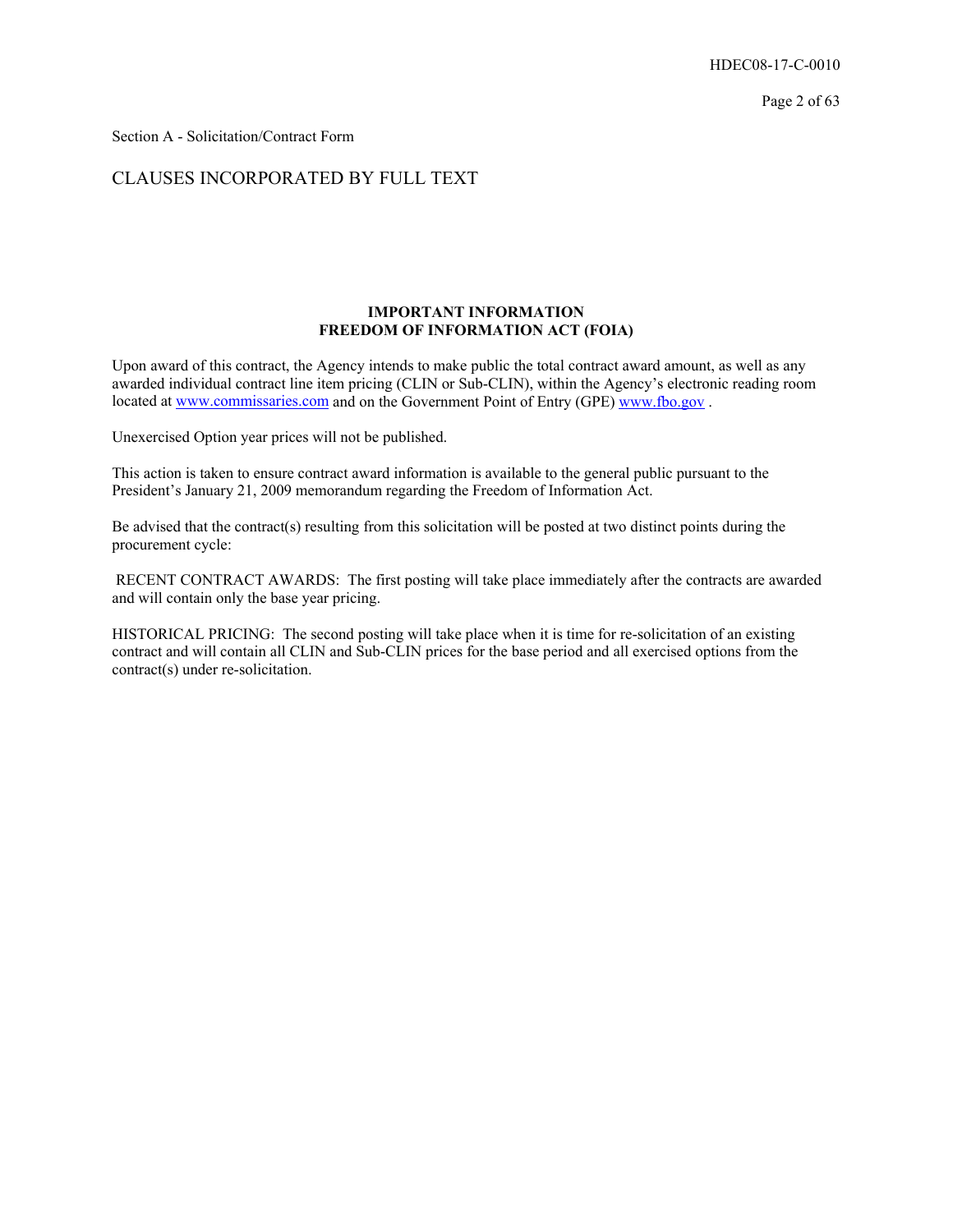Section A - Solicitation/Contract Form

## CLAUSES INCORPORATED BY FULL TEXT

## **IMPORTANT INFORMATION FREEDOM OF INFORMATION ACT (FOIA)**

Upon award of this contract, the Agency intends to make public the total contract award amount, as well as any awarded individual contract line item pricing (CLIN or Sub-CLIN), within the Agency's electronic reading room located at www.commissaries.com and on the Government Point of Entry (GPE) www.fbo.gov.

Unexercised Option year prices will not be published.

This action is taken to ensure contract award information is available to the general public pursuant to the President's January 21, 2009 memorandum regarding the Freedom of Information Act.

Be advised that the contract(s) resulting from this solicitation will be posted at two distinct points during the procurement cycle:

 RECENT CONTRACT AWARDS: The first posting will take place immediately after the contracts are awarded and will contain only the base year pricing.

HISTORICAL PRICING: The second posting will take place when it is time for re-solicitation of an existing contract and will contain all CLIN and Sub-CLIN prices for the base period and all exercised options from the contract(s) under re-solicitation.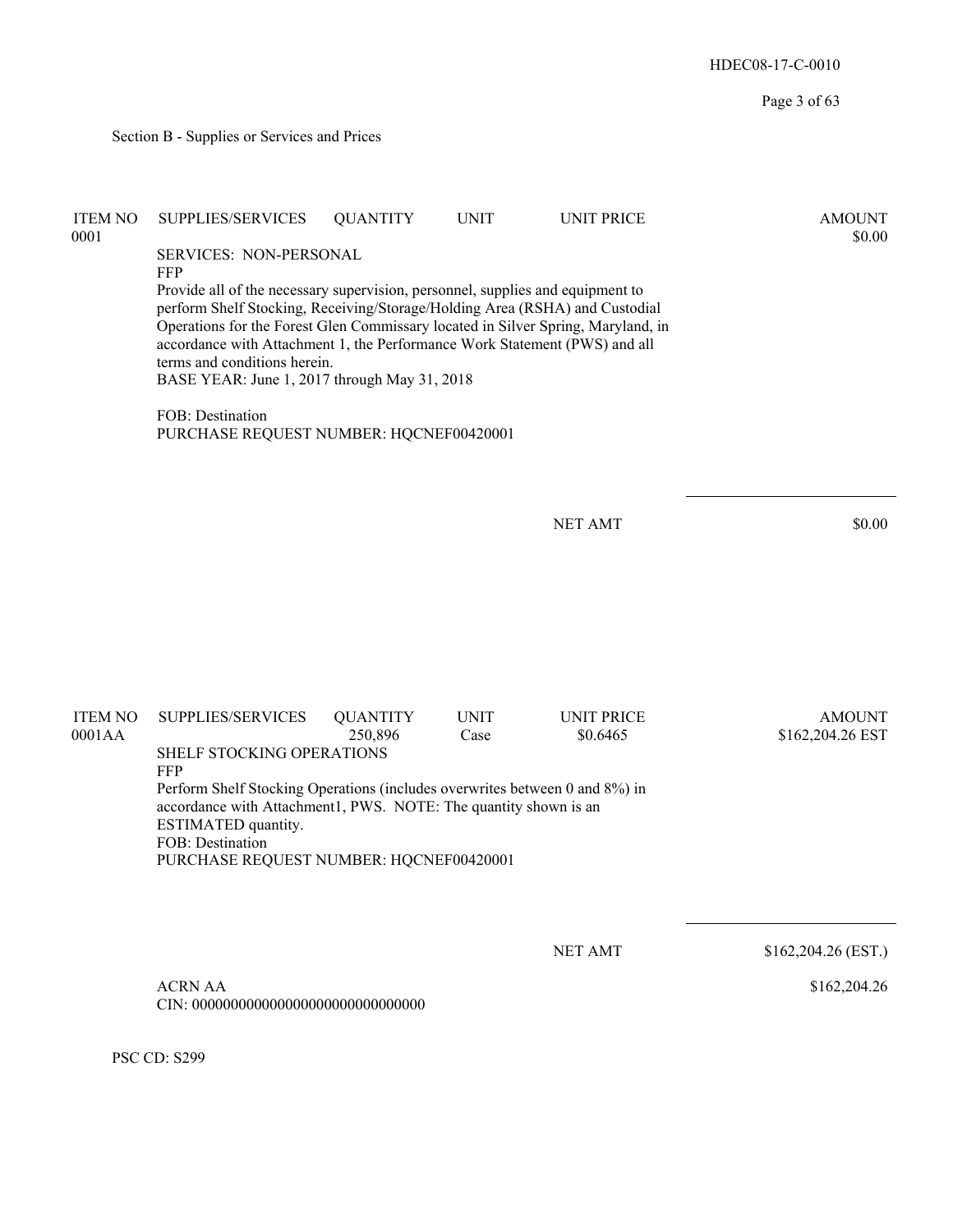Page 3 of 63 Section B - Supplies or Services and Prices ITEM NO SUPPLIES/SERVICES QUANTITY UNIT UNIT PRICE AMOUNT  $\text{0001}$  \$0.00 SERVICES: NON-PERSONAL FFP Provide all of the necessary supervision, personnel, supplies and equipment to perform Shelf Stocking, Receiving/Storage/Holding Area (RSHA) and Custodial Operations for the Forest Glen Commissary located in Silver Spring, Maryland, in accordance with Attachment 1, the Performance Work Statement (PWS) and all terms and conditions herein. BASE YEAR: June 1, 2017 through May 31, 2018 FOB: Destination PURCHASE REQUEST NUMBER: HQCNEF00420001 NET AMT \$0.00 ITEM NO SUPPLIES/SERVICES QUANTITY UNIT UNIT PRICE AMOUNT 0001AA 250,896 Case \$0.6465 \$162,204.26 EST SHELF STOCKING OPERATIONS FFP Perform Shelf Stocking Operations (includes overwrites between 0 and 8%) in accordance with Attachment1, PWS. NOTE: The quantity shown is an ESTIMATED quantity. FOB: Destination PURCHASE REQUEST NUMBER: HQCNEF00420001 NET AMT \$162,204.26 (EST.) ACRN AA \$162,204.26

HDEC08-17-C-0010

PSC CD: S299

CIN: 000000000000000000000000000000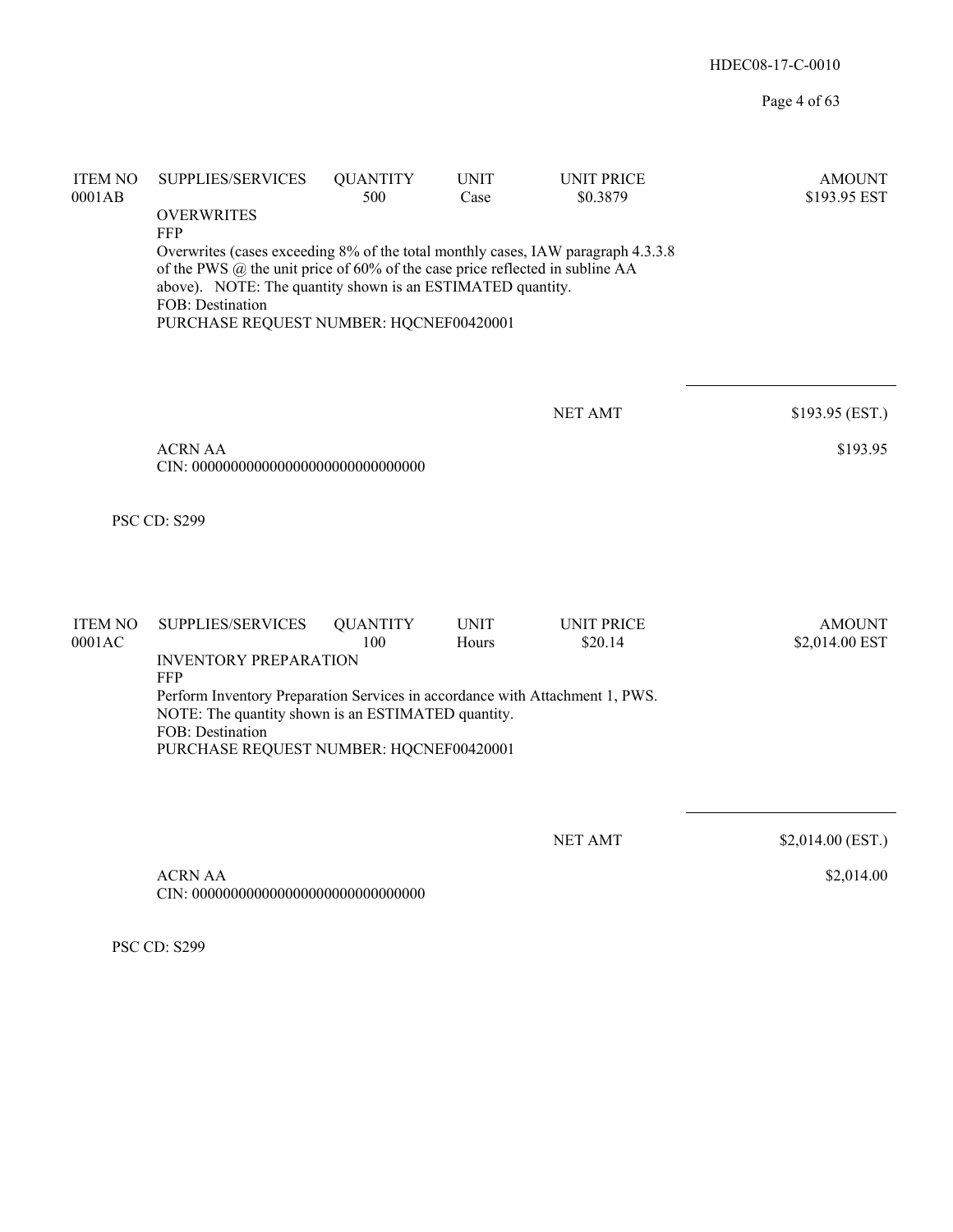Page 4 of 63

| <b>ITEM NO</b><br>0001AB | <b>SUPPLIES/SERVICES</b>                                                                                                                     | <b>QUANTITY</b><br>500 | <b>UNIT</b><br>Case | <b>UNIT PRICE</b><br>\$0.3879 | <b>AMOUNT</b><br>\$193.95 EST |
|--------------------------|----------------------------------------------------------------------------------------------------------------------------------------------|------------------------|---------------------|-------------------------------|-------------------------------|
|                          | <b>OVERWRITES</b>                                                                                                                            |                        |                     |                               |                               |
|                          | <b>FFP</b><br>Overwrites (cases exceeding 8% of the total monthly cases, IAW paragraph 4.3.3.8)                                              |                        |                     |                               |                               |
|                          | of the PWS $@$ the unit price of 60% of the case price reflected in subline AA<br>above). NOTE: The quantity shown is an ESTIMATED quantity. |                        |                     |                               |                               |
|                          | FOB: Destination                                                                                                                             |                        |                     |                               |                               |
|                          | PURCHASE REQUEST NUMBER: HQCNEF00420001                                                                                                      |                        |                     |                               |                               |
|                          |                                                                                                                                              |                        |                     |                               |                               |
|                          |                                                                                                                                              |                        |                     | <b>NET AMT</b>                | \$193.95 (EST.)               |
|                          | <b>ACRN AA</b>                                                                                                                               |                        |                     |                               | \$193.95                      |
|                          |                                                                                                                                              |                        |                     |                               |                               |
|                          |                                                                                                                                              |                        |                     |                               |                               |
|                          | PSC CD: S299                                                                                                                                 |                        |                     |                               |                               |
|                          |                                                                                                                                              |                        |                     |                               |                               |
|                          |                                                                                                                                              |                        |                     |                               |                               |
| <b>ITEM NO</b>           | SUPPLIES/SERVICES                                                                                                                            | <b>QUANTITY</b>        | <b>UNIT</b>         | <b>UNIT PRICE</b>             | <b>AMOUNT</b>                 |
| 0001AC                   | <b>INVENTORY PREPARATION</b>                                                                                                                 | 100                    | Hours               | \$20.14                       | \$2,014.00 EST                |
|                          | <b>FFP</b><br>Perform Inventory Preparation Services in accordance with Attachment 1, PWS.                                                   |                        |                     |                               |                               |
|                          | NOTE: The quantity shown is an ESTIMATED quantity.                                                                                           |                        |                     |                               |                               |
|                          | FOB: Destination<br>PURCHASE REQUEST NUMBER: HQCNEF00420001                                                                                  |                        |                     |                               |                               |
|                          |                                                                                                                                              |                        |                     |                               |                               |
|                          |                                                                                                                                              |                        |                     |                               |                               |
|                          |                                                                                                                                              |                        |                     | <b>NET AMT</b>                | \$2,014.00 (EST.)             |
|                          | <b>ACRN AA</b>                                                                                                                               |                        |                     |                               | \$2,014.00                    |
|                          |                                                                                                                                              |                        |                     |                               |                               |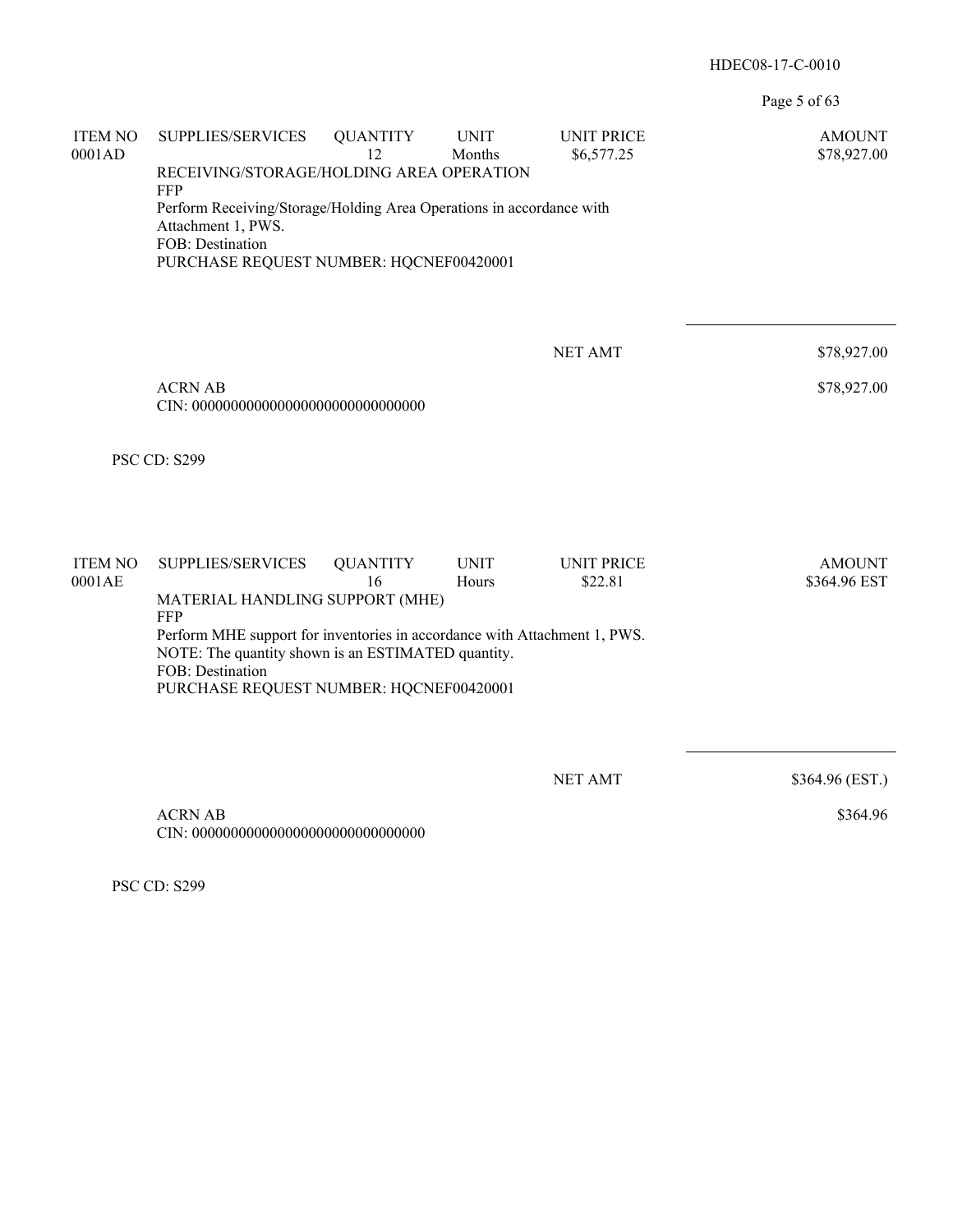Page 5 of 63

| <b>ITEM NO</b><br>0001AD | SUPPLIES/SERVICES                                                                                                                                                                                            | <b>QUANTITY</b><br>12 | <b>UNIT</b><br>Months | <b>UNIT PRICE</b><br>\$6,577.25 | <b>AMOUNT</b><br>\$78,927.00  |
|--------------------------|--------------------------------------------------------------------------------------------------------------------------------------------------------------------------------------------------------------|-----------------------|-----------------------|---------------------------------|-------------------------------|
|                          | RECEIVING/STORAGE/HOLDING AREA OPERATION<br><b>FFP</b>                                                                                                                                                       |                       |                       |                                 |                               |
|                          | Perform Receiving/Storage/Holding Area Operations in accordance with<br>Attachment 1, PWS.<br>FOB: Destination                                                                                               |                       |                       |                                 |                               |
|                          | PURCHASE REQUEST NUMBER: HQCNEF00420001                                                                                                                                                                      |                       |                       |                                 |                               |
|                          |                                                                                                                                                                                                              |                       |                       |                                 |                               |
|                          |                                                                                                                                                                                                              |                       |                       | <b>NET AMT</b>                  | \$78,927.00                   |
|                          | <b>ACRN AB</b>                                                                                                                                                                                               |                       |                       |                                 | \$78,927.00                   |
|                          | <b>PSC CD: S299</b>                                                                                                                                                                                          |                       |                       |                                 |                               |
| <b>ITEM NO</b><br>0001AE | SUPPLIES/SERVICES                                                                                                                                                                                            | <b>QUANTITY</b><br>16 | <b>UNIT</b><br>Hours  | <b>UNIT PRICE</b><br>\$22.81    | <b>AMOUNT</b><br>\$364.96 EST |
|                          | MATERIAL HANDLING SUPPORT (MHE)                                                                                                                                                                              |                       |                       |                                 |                               |
|                          | <b>FFP</b><br>Perform MHE support for inventories in accordance with Attachment 1, PWS.<br>NOTE: The quantity shown is an ESTIMATED quantity.<br>FOB: Destination<br>PURCHASE REQUEST NUMBER: HQCNEF00420001 |                       |                       |                                 |                               |
|                          |                                                                                                                                                                                                              |                       |                       |                                 |                               |
|                          |                                                                                                                                                                                                              |                       |                       | <b>NET AMT</b>                  | \$364.96 (EST.)               |
|                          | <b>ACRN AB</b>                                                                                                                                                                                               |                       |                       |                                 | \$364.96                      |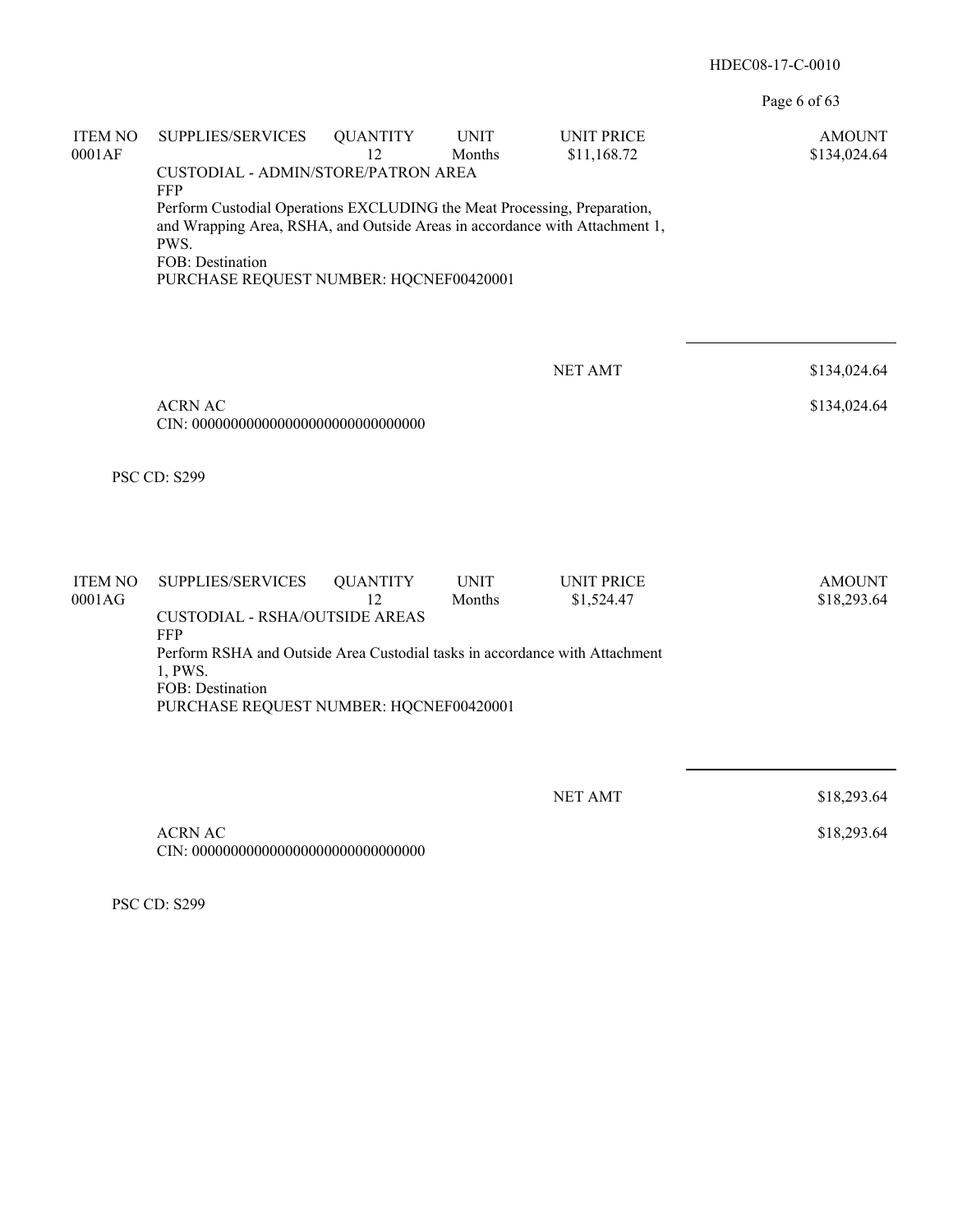Page 6 of 63

| <b>ITEM NO</b><br>0001AF | SUPPLIES/SERVICES<br>CUSTODIAL - ADMIN/STORE/PATRON AREA<br>FFP<br>Perform Custodial Operations EXCLUDING the Meat Processing, Preparation,<br>and Wrapping Area, RSHA, and Outside Areas in accordance with Attachment 1,<br>PWS.<br>FOB: Destination<br>PURCHASE REQUEST NUMBER: HQCNEF00420001 | <b>QUANTITY</b><br>12 | <b>UNIT</b><br>Months | <b>UNIT PRICE</b><br>\$11,168.72 | <b>AMOUNT</b><br>\$134,024.64 |
|--------------------------|---------------------------------------------------------------------------------------------------------------------------------------------------------------------------------------------------------------------------------------------------------------------------------------------------|-----------------------|-----------------------|----------------------------------|-------------------------------|
|                          | <b>ACRN AC</b>                                                                                                                                                                                                                                                                                    |                       |                       | <b>NET AMT</b>                   | \$134,024.64<br>\$134,024.64  |
|                          | <b>PSC CD: S299</b>                                                                                                                                                                                                                                                                               |                       |                       |                                  |                               |
| <b>ITEM NO</b><br>0001AG | SUPPLIES/SERVICES<br><b>CUSTODIAL - RSHA/OUTSIDE AREAS</b><br><b>FFP</b><br>Perform RSHA and Outside Area Custodial tasks in accordance with Attachment<br>1, PWS.<br>FOB: Destination<br>PURCHASE REQUEST NUMBER: HQCNEF00420001                                                                 | <b>QUANTITY</b><br>12 | <b>UNIT</b><br>Months | <b>UNIT PRICE</b><br>\$1,524.47  | <b>AMOUNT</b><br>\$18,293.64  |
|                          | <b>ACRN AC</b>                                                                                                                                                                                                                                                                                    |                       |                       | <b>NET AMT</b>                   | \$18,293.64<br>\$18,293.64    |